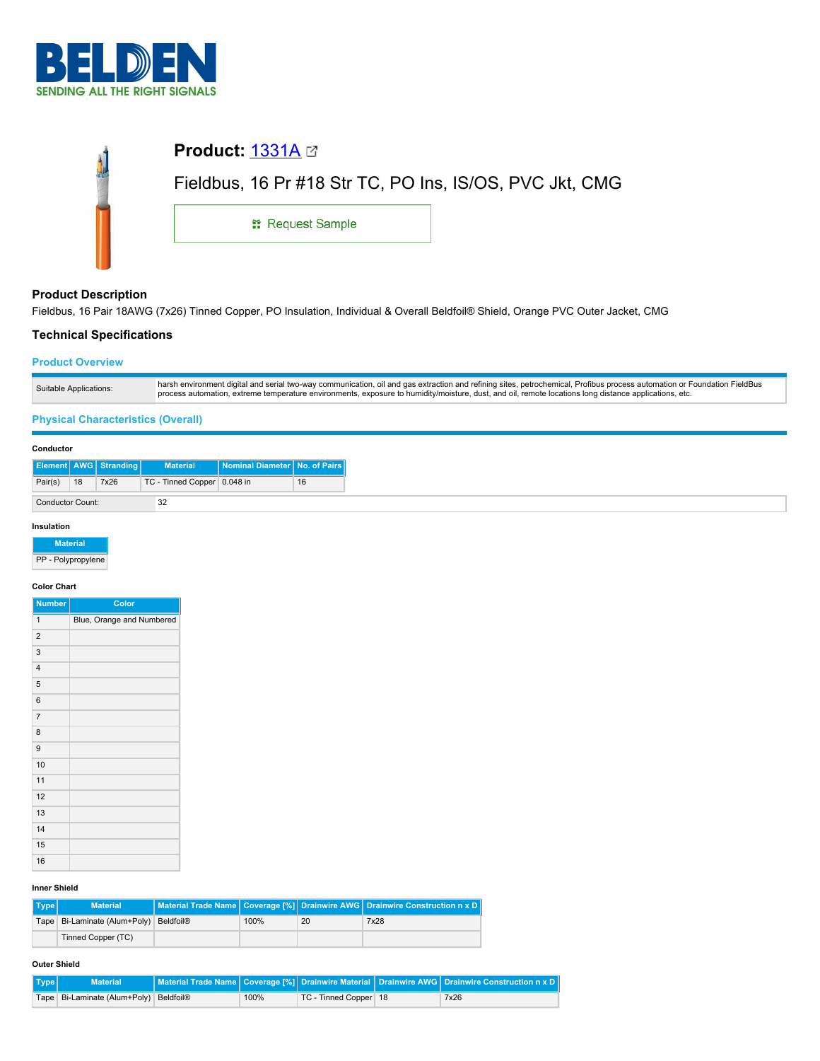

| <b>Product:</b> $1331A \boxtimes$                       |  |
|---------------------------------------------------------|--|
| Fieldbus, 16 Pr #18 Str TC, PO Ins, IS/OS, PVC Jkt, CMG |  |
| <b>: Request Sample</b>                                 |  |
|                                                         |  |

## **Product Description**

Fieldbus, 16 Pair 18AWG (7x26) Tinned Copper, PO Insulation, Individual & Overall Beldfoil® Shield, Orange PVC Outer Jacket, CMG

## **Technical Specifications**

### **Product Overview**

| Suitable Applications: | harsh environment digital and serial two-way communication, oil and gas extraction and refining sites, petrochemical, Profibus process automation or Foundation FieldBus<br>process automation, extreme temperature environments, exposure to humidity/moisture, dust, and oil, remote locations long distance applications, etc. |
|------------------------|-----------------------------------------------------------------------------------------------------------------------------------------------------------------------------------------------------------------------------------------------------------------------------------------------------------------------------------|

## **Physical Characteristics (Overall)**

#### **Conductor**

|                  |    | <b>Element AWG Stranding</b> | <b>Material</b>             | Nominal Diameter No. of Pairs |    |
|------------------|----|------------------------------|-----------------------------|-------------------------------|----|
| Pair(s)          | 18 | 7x26                         | TC - Tinned Copper 0.048 in |                               | 16 |
| Conductor Count: |    |                              | 32                          |                               |    |

### **Insulation**

**Material** PP - Polypropylene

#### **Color Chart**

| <b>Number</b>  | Color                     |
|----------------|---------------------------|
| $\mathbf{1}$   | Blue, Orange and Numbered |
| $\overline{2}$ |                           |
| 3              |                           |
| $\overline{4}$ |                           |
| 5              |                           |
| 6              |                           |
| $\overline{7}$ |                           |
| 8              |                           |
| 9              |                           |
| 10             |                           |
| 11             |                           |
| 12             |                           |
| 13             |                           |
| 14             |                           |
| 15             |                           |
| 16             |                           |

#### **Inner Shield**

| Type | <b>Material</b>                            |      |    | Material Trade Name   Coverage [%]   Drainwire AWG   Drainwire Construction n x D |
|------|--------------------------------------------|------|----|-----------------------------------------------------------------------------------|
|      | Tape   Bi-Laminate (Alum+Poly)   Beldfoil® | 100% | 20 | 7x28                                                                              |
|      | Tinned Copper (TC)                         |      |    |                                                                                   |

### **Outer Shield**

| Type | <b>Material</b>                            |      |                         | Material Trade Name   Coverage [%] Drainwire Material   Drainwire AWG   Drainwire Construction n x D |
|------|--------------------------------------------|------|-------------------------|------------------------------------------------------------------------------------------------------|
|      | Tape   Bi-Laminate (Alum+Poly)   Beldfoil® | 100% | TC - Tinned Copper   18 | 7x26                                                                                                 |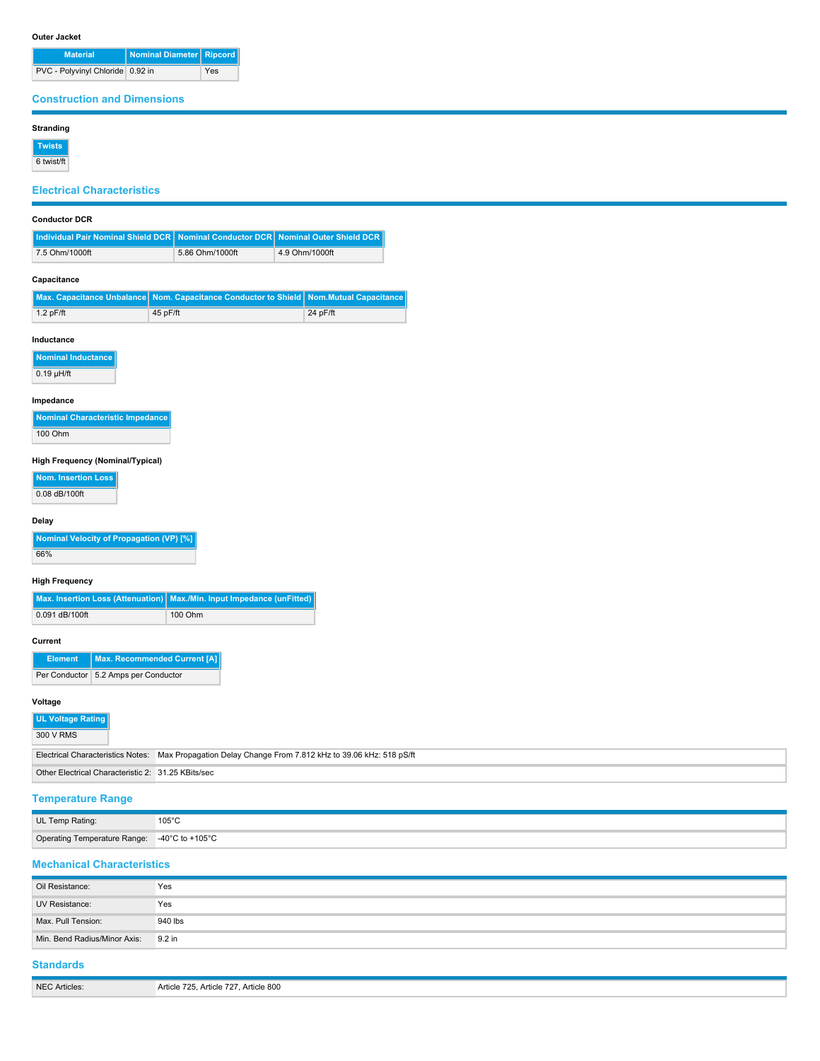### **Outer Jacket**

| <b>Material</b>                  | Nominal Diameter   Ripcord |     |
|----------------------------------|----------------------------|-----|
| PVC - Polyvinyl Chloride 0.92 in |                            | Yes |

## **Construction and Dimensions**

## **Stranding**

**Twists**

6 twist/ft

## **Electrical Characteristics**

#### **Conductor DCR**

| Individual Pair Nominal Shield DCR   Nominal Conductor DCR   Nominal Outer Shield DCR |                 |                |
|---------------------------------------------------------------------------------------|-----------------|----------------|
| 7.5 Ohm/1000ft                                                                        | 5.86 Ohm/1000ft | 4.9 Ohm/1000ft |
| Capacitance                                                                           |                 |                |

|             | Max. Capacitance Unbalance   Nom. Capacitance Conductor to Shield   Nom.Mutual Capacitance |            |
|-------------|--------------------------------------------------------------------------------------------|------------|
| 1.2 $pF/ft$ | 45 pF/ft                                                                                   | $24$ pF/ft |

#### **Inductance**

| <b>Nominal Inductance</b> |
|---------------------------|
| 0.10, 10.46               |

 $0.19 \mu H/ft$ 

### **Impedance**

| <b>Nominal Characteristic Impedance</b> |
|-----------------------------------------|
| 100 Ohm                                 |

#### **High Frequency (Nominal/Typical)**

**Nom. Insertion Loss** 0.08 dB/100ft

#### **Delay**

| Nominal Velocity of Propagation (VP) [%] |
|------------------------------------------|
| 66%                                      |

### **High Frequency**

|                | Max. Insertion Loss (Attenuation) Max./Min. Input Impedance (unFitted) |  |  |  |
|----------------|------------------------------------------------------------------------|--|--|--|
| 0.091 dB/100ft | 100 Ohm                                                                |  |  |  |

#### **Current**

**Element Max. Recommended Current [A]** Per Conductor 5.2 Amps per Conductor

## **Voltage**

| UL Voltage Rating                                  |                                                                                                       |
|----------------------------------------------------|-------------------------------------------------------------------------------------------------------|
| 300 V RMS                                          |                                                                                                       |
|                                                    | Electrical Characteristics Notes: Max Propagation Delay Change From 7.812 kHz to 39.06 kHz: 518 pS/ft |
| Other Electrical Characteristic 2: 31.25 KBits/sec |                                                                                                       |

### **Temperature Range**

| UL Temp Rating:                              | 105°C<br>. |
|----------------------------------------------|------------|
| Operating Temperature Range: -40°C to +105°C |            |

# **Mechanical Characteristics**

| Oil Resistance:                     | Yes     |
|-------------------------------------|---------|
| UV Resistance:                      | Yes     |
| Max, Pull Tension:                  | 940 lbs |
| Min. Bend Radius/Minor Axis: 9.2 in |         |

## **Standards**

NEC Articles: Article 725, Article 727, Article 800